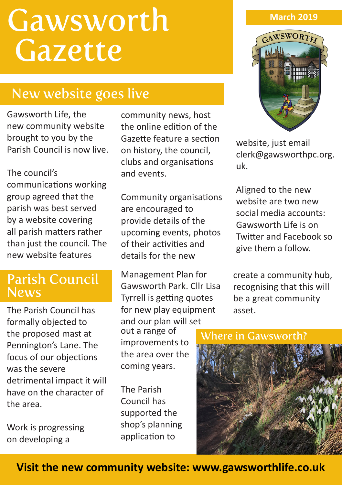# **Gawsworth Gazette**

## New website goes live

Gawsworth Life, the new community website brought to you by the Parish Council is now live.

The council's communications working group agreed that the parish was best served by a website covering all parish matters rather than just the council. The new website features

## Parish Council News

The Parish Council has formally objected to the proposed mast at Pennington's Lane. The focus of our objections was the severe detrimental impact it will have on the character of the area.

Work is progressing on developing a

community news, host the online edition of the Gazette feature a section on history, the council, clubs and organisations and events.

Community organisations are encouraged to provide details of the upcoming events, photos of their activities and details for the new

Management Plan for Gawsworth Park. Cllr Lisa Tyrrell is getting quotes for new play equipment and our plan will set out a range of

improvements to the area over the coming years.

The Parish Council has supported the shop's planning application to

#### **March 2019**



website, just email clerk@gawsworthpc.org. uk.

Aligned to the new website are two new social media accounts: Gawsworth Life is on Twitter and Facebook so give them a follow.

create a community hub, recognising that this will be a great community asset.

#### Where in Gawsworth?



**Visit the new community website: www.gawsworthlife.co.uk**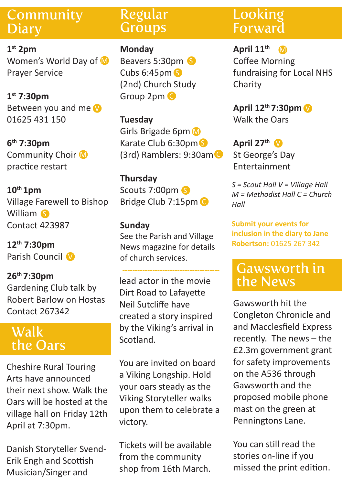## Community **Diary**

**1st 2pm** Women's World Day of M Prayer Service

**1st 7:30pm** Between you and me 01625 431 150

**6th 7:30pm** Community Choir M practice restart

**10th 1pm**  Village Farewell to Bishop William S Contact 423987

**12th 7:30pm** Parish Council V

#### **26th 7:30pm**  Gardening Club talk by Robert Barlow on Hostas Contact 267342

## Walk the Oars

Cheshire Rural Touring Arts have announced their next show. Walk the Oars will be hosted at the village hall on Friday 12th April at 7:30pm.

Danish Storyteller Svend-Erik Engh and Scottish Musician/Singer and

### Regular **Groups**

**Monday** Beavers 5:30pm S Cubs 6:45pm S (2nd) Church Study Group 2pm C

**Tuesday** Girls Brigade 6pm M Karate Club 6:30pm (3rd) Ramblers: 9:30am C

**Thursday** Scouts 7:00pm S Bridge Club 7:15pm C

#### **Sunday**

See the Parish and Village News magazine for details of church services.

lead actor in the movie Dirt Road to Lafayette Neil Sutcliffe have created a story inspired by the Viking's arrival in Scotland.

You are invited on board a Viking Longship. Hold your oars steady as the Viking Storyteller walks upon them to celebrate a victory.

Tickets will be available from the community shop from 16th March.

## Looking **Forward**

**April 11th** Coffee Morning fundraising for Local NHS Charity M

**April 12<sup>th</sup> 7:30pm V** Walk the Oars

> April 27<sup>th</sup> V St George's Day Entertainment

*S = Scout Hall V = Village Hall M = Methodist Hall C = Church Hall* 

**Submit your events for inclusion in the diary to Jane Robertson:** 01625 267 342

## Gawsworth in the News

Gawsworth hit the Congleton Chronicle and and Macclesfield Express recently. The news – the £2.3m government grant for safety improvements on the A536 through Gawsworth and the proposed mobile phone mast on the green at Penningtons Lane.

You can still read the stories on-line if you missed the print edition.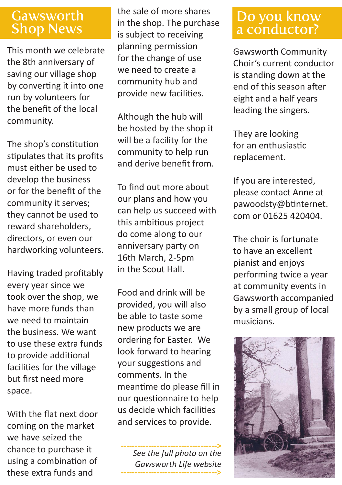## Gawsworth

This month we celebrate the 8th anniversary of saving our village shop by converting it into one run by volunteers for the benefit of the local community.

The shop's constitution stipulates that its profits must either be used to develop the business or for the benefit of the community it serves; they cannot be used to reward shareholders, directors, or even our hardworking volunteers.

Having traded profitably every year since we took over the shop, we have more funds than we need to maintain the business. We want to use these extra funds to provide additional facilities for the village but first need more space.

With the flat next door coming on the market we have seized the chance to purchase it using a combination of these extra funds and

the sale of more shares in the shop. The purchase is subject to receiving planning permission for the change of use we need to create a community hub and provide new facilities.

Although the hub will be hosted by the shop it will be a facility for the community to help run and derive benefit from.

To find out more about our plans and how you can help us succeed with this ambitious project do come along to our anniversary party on 16th March, 2-5pm in the Scout Hall.

Food and drink will be provided, you will also be able to taste some new products we are ordering for Easter. We look forward to hearing your suggestions and comments. In the meantime do please fill in our questionnaire to help us decide which facilities and services to provide.

**----------------------------------->** *See the full photo on the Gawsworth Life website* **----------------------------------->**

## Do you know a conductor?

Gawsworth Community Choir's current conductor is standing down at the end of this season after eight and a half years leading the singers.

They are looking for an enthusiastic replacement.

If you are interested, please contact Anne at pawoodsty@btinternet. com or 01625 420404.

The choir is fortunate to have an excellent pianist and enjoys performing twice a year at community events in Gawsworth accompanied by a small group of local musicians.